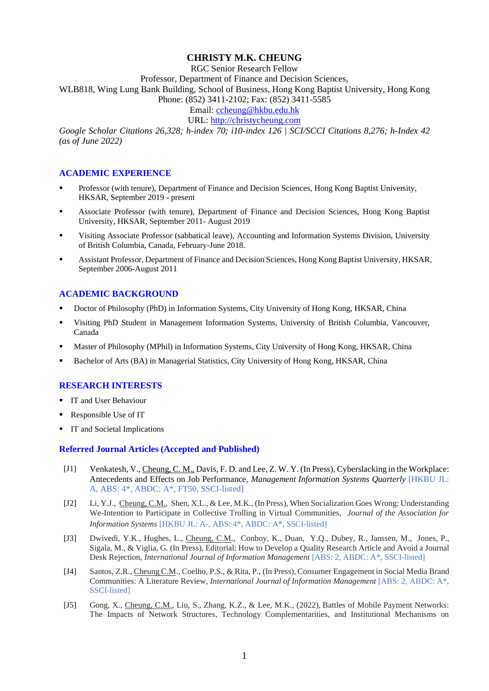# **CHRISTY M.K. CHEUNG**

RGC Senior Research Fellow

Professor, Department of Finance and Decision Sciences,

WLB818, Wing Lung Bank Building, School of Business, Hong Kong Baptist University, Hong Kong

Phone: (852) 3411-2102; Fax: (852) 3411-5585

Email: [ccheung@hkbu.edu.hk](mailto:ccheung@hkbu.edu.hk)

URL: [http://christycheung.com](http://christycheung.com/)

*Google Scholar Citations 26,328; h-index 70; i10-index 126 | SCI/SCCI Citations 8,276; h-Index 42 (as of June 2022)*

## **ACADEMIC EXPERIENCE**

- Professor (with tenure), Department of Finance and Decision Sciences, Hong Kong Baptist University, HKSAR, September 2019 - present
- Associate Professor (with tenure), Department of Finance and Decision Sciences, Hong Kong Baptist University, HKSAR, September 2011- August 2019
- Visiting Associate Professor (sabbatical leave), Accounting and Information Systems Division, University of British Columbia, Canada, February-June 2018.
- Assistant Professor, Department of Finance and Decision Sciences, Hong Kong Baptist University, HKSAR, September 2006-August 2011

## **ACADEMIC BACKGROUND**

- Doctor of Philosophy (PhD) in Information Systems, City University of Hong Kong, HKSAR, China
- Visiting PhD Student in Management Information Systems, University of British Columbia, Vancouver, Canada
- Master of Philosophy (MPhil) in Information Systems, City University of Hong Kong, HKSAR, China
- Bachelor of Arts (BA) in Managerial Statistics, City University of Hong Kong, HKSAR, China

### **RESEARCH INTERESTS**

- **•** IT and User Behaviour
- Responsible Use of IT
- IT and Societal Implications

### **Referred Journal Articles (Accepted and Published)**

- [J1] Venkatesh, V., Cheung, C. M., Davis, F. D. and Lee, Z. W. Y. (In Press), Cyberslacking in the Workplace: Antecedents and Effects on Job Performance, *Management Information Systems Quarterly* [HKBU JL: A, ABS: 4\*, ABDC: A\*, FT50, SSCI-listed]
- [J2] Li, Y.J., Cheung, C.M., Shen, X.L., & Lee, M.K., (In Press), When Socialization Goes Wrong: Understanding We-Intention to Participate in Collective Trolling in Virtual Communities, *Journal of the Association for Information Systems* [HKBU JL: A-, ABS: 4\*, ABDC: A\*, SSCI-listed]
- [J3] Dwivedi, Y.K., Hughes, L., Cheung, C.M., Conboy, K., Duan, Y.Q., Dubey, R., Janssen, M., Jones, P., Sigala, M., & Viglia, G. (In Press), Editorial: How to Develop a Quality Research Article and Avoid a Journal Desk Rejection, *International Journal of Information Management* [ABS: 2, ABDC: A\*, SSCI-listed]
- [J4] Santos, Z.R., Cheung C.M., Coelho, P.S., & Rita,P., (In Press), Consumer Engagement in Social Media Brand Communities: A Literature Review, *International Journal of Information Management* [ABS: 2, ABDC: A\*, SSCI-listed]
- [J5] Gong, X., Cheung, C.M., Liu, S., Zhang, K.Z., & Lee, M.K., (2022), Battles of Mobile Payment Networks: The Impacts of Network Structures, Technology Complementarities, and Institutional Mechanisms on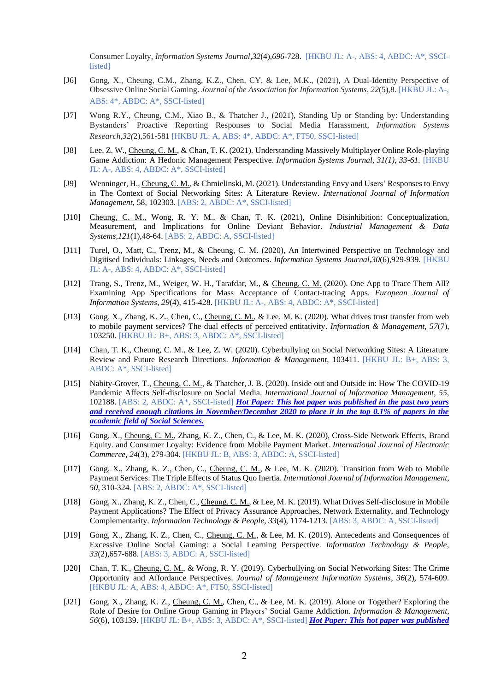Consumer Loyalty, *Information Systems Journal,32*(4)*,696*-728. [HKBU JL: A-, ABS: 4, ABDC: A\*, SSCIlisted]

- [J6] Gong, X., Cheung, C.M., Zhang, K.Z., Chen, CY, & Lee, M.K., (2021), A Dual-Identity Perspective of Obsessive Online Social Gaming. *Journal of the Association for Information Systems*, *22*(5),8. [HKBU JL: A-, ABS: 4\*, ABDC: A\*, SSCI-listed]
- [J7] Wong R.Y., Cheung, C.M., Xiao B., & Thatcher J., (2021), Standing Up or Standing by: Understanding Bystanders' Proactive Reporting Responses to Social Media Harassment, *Information Systems Research,32(*2),561-581 [HKBU JL: A, ABS: 4\*, ABDC: A\*, FT50, SSCI-listed]
- [J8] Lee, Z. W., Cheung, C. M., & Chan, T. K. (2021). Understanding Massively Multiplayer Online Role‐playing Game Addiction: A Hedonic Management Perspective. *Information Systems Journal, 31(1), 33-61*. [HKBU JL: A-, ABS: 4, ABDC: A\*, SSCI-listed]
- [J9] Wenninger, H., Cheung, C. M., & Chmielinski, M. (2021). Understanding Envy and Users' Responses to Envy in The Context of Social Networking Sites: A Literature Review. *International Journal of Information Management*, 58, 102303. [ABS: 2, ABDC: A\*, SSCI-listed]
- [J10] Cheung, C. M., Wong, R. Y. M., & Chan, T. K. (2021), Online Disinhibition: Conceptualization, Measurement, and Implications for Online Deviant Behavior. *Industrial Management & Data Systems,121*(1),48-64. [ABS: 2, ABDC: A, SSCI-listed]
- [J11] Turel, O., Matt, C., Trenz, M., & Cheung, C. M. (2020), An Intertwined Perspective on Technology and Digitised Individuals: Linkages, Needs and Outcomes. *Information Systems Journal,30*(6)*,*929-939. [HKBU JL: A-, ABS: 4, ABDC: A\*, SSCI-listed]
- [J12] Trang, S., Trenz, M., Weiger, W. H., Tarafdar, M., & Cheung, C. M. (2020). One App to Trace Them All? Examining App Specifications for Mass Acceptance of Contact-tracing Apps. *European Journal of Information Systems*, *29*(4), 415-428. [HKBU JL: A-, ABS: 4, ABDC: A\*, SSCI-listed]
- [J13] Gong, X., Zhang, K. Z., Chen, C., Cheung, C. M., & Lee, M. K. (2020). What drives trust transfer from web to mobile payment services? The dual effects of perceived entitativity. *Information & Management*, *57*(7), 103250. [HKBU JL: B+, ABS: 3, ABDC: A\*, SSCI-listed]
- [J14] Chan, T. K., Cheung, C. M., & Lee, Z. W. (2020). Cyberbullying on Social Networking Sites: A Literature Review and Future Research Directions. *Information & Management*, 103411. [HKBU JL: B+, ABS: 3, ABDC: A\*, SSCI-listed]
- [J15] Nabity-Grover, T., Cheung, C. M., & Thatcher, J. B. (2020). Inside out and Outside in: How The COVID-19 Pandemic Affects Self-disclosure on Social Media. *International Journal of Information Management*, *55*, 102188. [ABS: 2, ABDC: A\*, SSCI-listed] *Hot Paper: This hot paper was published in the past two years and received enough citations in November/December 2020 to place it in the top 0.1% of papers in the academic field of Social Sciences.*
- [J16] Gong, X., Cheung, C. M., Zhang, K. Z., Chen, C., & Lee, M. K. (2020), Cross-Side Network Effects, Brand Equity. and Consumer Loyalty: Evidence from Mobile Payment Market. *International Journal of Electronic Commerce*, *24*(3), 279-304. [HKBU JL: B, ABS: 3, ABDC: A, SSCI-listed]
- [J17] Gong, X., Zhang, K. Z., Chen, C., Cheung, C. M., & Lee, M. K. (2020). Transition from Web to Mobile Payment Services: The Triple Effects of Status Quo Inertia. *International Journal of Information Management*, *50*, 310-324. [ABS: 2, ABDC: A\*, SSCI-listed]
- [J18] Gong, X., Zhang, K. Z., Chen, C., Cheung, C. M., & Lee, M. K. (2019). What Drives Self-disclosure in Mobile Payment Applications? The Effect of Privacy Assurance Approaches, Network Externality, and Technology Complementarity. *Information Technology & People*, *33*(4), 1174-1213. [ABS: 3, ABDC: A, SSCI-listed]
- [J19] Gong, X., Zhang, K. Z., Chen, C., Cheung, C. M., & Lee, M. K. (2019). Antecedents and Consequences of Excessive Online Social Gaming: a Social Learning Perspective. *Information Technology & People*, *33*(2),657-688. [ABS: 3, ABDC: A, SSCI-listed]
- [J20] Chan, T. K., Cheung, C. M., & Wong, R. Y. (2019). Cyberbullying on Social Networking Sites: The Crime Opportunity and Affordance Perspectives. *Journal of Management Information Systems*, *36*(2), 574-609. [HKBU JL: A, ABS: 4, ABDC: A\*, FT50, SSCI-listed]
- [J21] Gong, X., Zhang, K. Z., Cheung, C. M., Chen, C., & Lee, M. K. (2019). Alone or Together? Exploring the Role of Desire for Online Group Gaming in Players' Social Game Addiction. *Information & Management*, *56*(6), 103139. [HKBU JL: B+, ABS: 3, ABDC: A\*, SSCI-listed] *Hot Paper: This hot paper was published*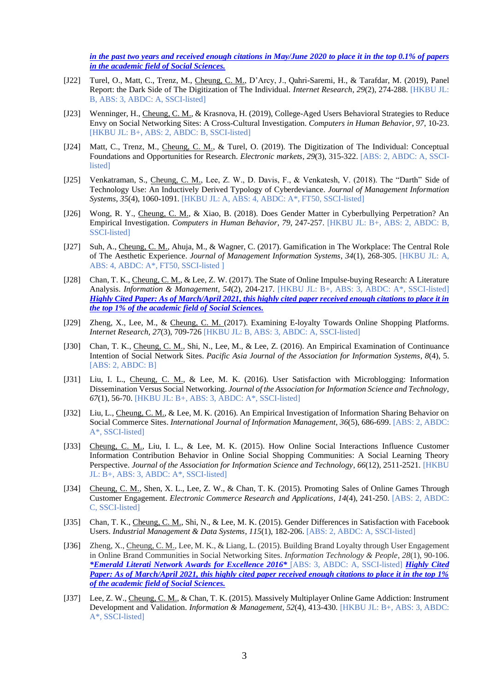*in the past two years and received enough citations in May/June 2020 to place it in the top 0.1% of papers in the academic field of Social Sciences.*

- [J22] Turel, O., Matt, C., Trenz, M., Cheung, C. M., D'Arcy, J., Qahri-Saremi, H., & Tarafdar, M. (2019), Panel Report: the Dark Side of The Digitization of The Individual. *Internet Research*, *29*(2), 274-288. [HKBU JL: B, ABS: 3, ABDC: A, SSCI-listed]
- [J23] Wenninger, H., Cheung, C. M., & Krasnova, H. (2019), College-Aged Users Behavioral Strategies to Reduce Envy on Social Networking Sites: A Cross-Cultural Investigation. *Computers in Human Behavior*, *97*, 10-23. [HKBU JL: B+, ABS: 2, ABDC: B, SSCI-listed]
- [J24] Matt, C., Trenz, M., Cheung, C. M., & Turel, O. (2019). The Digitization of The Individual: Conceptual Foundations and Opportunities for Research. *Electronic markets*, *29*(3), 315-322. [ABS: 2, ABDC: A, SSCIlisted]
- [J25] Venkatraman, S., Cheung, C. M., Lee, Z. W., D. Davis, F., & Venkatesh, V. (2018). The "Darth" Side of Technology Use: An Inductively Derived Typology of Cyberdeviance. *Journal of Management Information Systems*, *35*(4), 1060-1091. [HKBU JL: A, ABS: 4, ABDC: A\*, FT50, SSCI-listed]
- [J26] Wong, R. Y., Cheung, C. M., & Xiao, B. (2018). Does Gender Matter in Cyberbullying Perpetration? An Empirical Investigation. *Computers in Human Behavior*, *79*, 247-257. [HKBU JL: B+, ABS: 2, ABDC: B, SSCI-listed]
- [J27] Suh, A., Cheung, C. M., Ahuja, M., & Wagner, C. (2017). Gamification in The Workplace: The Central Role of The Aesthetic Experience. *Journal of Management Information Systems*, *34*(1), 268-305. [HKBU JL: A, ABS: 4, ABDC: A\*, FT50, SSCI-listed ]
- [J28] Chan, T. K., Cheung, C. M., & Lee, Z. W. (2017). The State of Online Impulse-buying Research: A Literature Analysis. *Information & Management*, *54*(2), 204-217. [HKBU JL: B+, ABS: 3, ABDC: A\*, SSCI-listed] *Highly Cited Paper: As of March/April 2021, this highly cited paper received enough citations to place it in the top 1% of the academic field of Social Sciences.*
- [J29] Zheng, X., Lee, M., & Cheung, C. M. (2017). Examining E-loyalty Towards Online Shopping Platforms. *Internet Research, 27*(3), 709-726 [HKBU JL: B, ABS: 3, ABDC: A, SSCI-listed]
- [J30] Chan, T. K., Cheung, C. M., Shi, N., Lee, M., & Lee, Z. (2016). An Empirical Examination of Continuance Intention of Social Network Sites. *Pacific Asia Journal of the Association for Information Systems*, *8*(4), 5. [ABS: 2, ABDC: B]
- [J31] Liu, I. L., Cheung, C. M., & Lee, M. K. (2016). User Satisfaction with Microblogging: Information Dissemination Versus Social Networking. *Journal of the Association for Information Science and Technology*, *67*(1), 56-70. [HKBU JL: B+, ABS: 3, ABDC: A\*, SSCI-listed]
- [J32] Liu, L., Cheung, C. M., & Lee, M. K. (2016). An Empirical Investigation of Information Sharing Behavior on Social Commerce Sites. *International Journal of Information Management*, *36*(5), 686-699. [ABS: 2, ABDC: A\*, SSCI-listed]
- [J33] Cheung, C. M., Liu, I. L., & Lee, M. K. (2015). How Online Social Interactions Influence Customer Information Contribution Behavior in Online Social Shopping Communities: A Social Learning Theory Perspective. *Journal of the Association for Information Science and Technology*, *66*(12), 2511-2521. [HKBU JL: B+, ABS: 3, ABDC: A\*, SSCI-listed]
- [J34] Cheung, C. M., Shen, X. L., Lee, Z. W., & Chan, T. K. (2015). Promoting Sales of Online Games Through Customer Engagement. *Electronic Commerce Research and Applications*, *14*(4), 241-250. [ABS: 2, ABDC: C, SSCI-listed]
- [J35] Chan, T. K., Cheung, C. M., Shi, N., & Lee, M. K. (2015). Gender Differences in Satisfaction with Facebook Users. *Industrial Management & Data Systems*, *115*(1), 182-206. [ABS: 2, ABDC: A, SSCI-listed]
- [J36] Zheng, X., Cheung, C. M., Lee, M. K., & Liang, L. (2015). Building Brand Loyalty through User Engagement in Online Brand Communities in Social Networking Sites. *Information Technology & People*, *28*(1), 90-106. *\*Emerald Literati Network Awards for Excellence 2016\** [ABS: 3, ABDC: A, SSCI-listed] *Highly Cited Paper: As of March/April 2021, this highly cited paper received enough citations to place it in the top 1% of the academic field of Social Sciences.*
- [J37] Lee, Z. W., Cheung, C. M., & Chan, T. K. (2015). Massively Multiplayer Online Game Addiction: Instrument Development and Validation. *Information & Management*, *52*(4), 413-430. [HKBU JL: B+, ABS: 3, ABDC: A\*, SSCI-listed]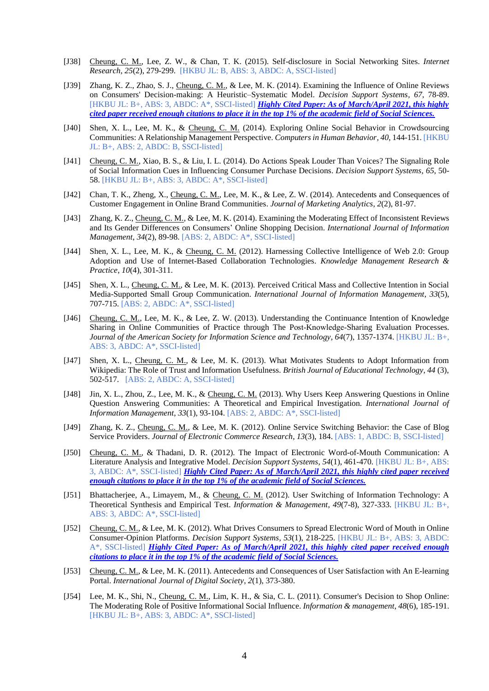- [J38] Cheung, C. M., Lee, Z. W., & Chan, T. K. (2015). Self-disclosure in Social Networking Sites. *Internet Research*, *25*(2), 279-299. [HKBU JL: B, ABS: 3, ABDC: A, SSCI-listed]
- [J39] Zhang, K. Z., Zhao, S. J., Cheung, C. M., & Lee, M. K. (2014). Examining the Influence of Online Reviews on Consumers' Decision-making: A Heuristic–Systematic Model. *Decision Support Systems*, *67*, 78-89. [HKBU JL: B+, ABS: 3, ABDC: A\*, SSCI-listed] *Highly Cited Paper: As of March/April 2021, this highly cited paper received enough citations to place it in the top 1% of the academic field of Social Sciences.*
- [J40] Shen, X. L., Lee, M. K., & Cheung, C. M. (2014). Exploring Online Social Behavior in Crowdsourcing Communities: A Relationship Management Perspective. *Computers in Human Behavior*, *40*, 144-151. [HKBU JL: B+, ABS: 2, ABDC: B, SSCI-listed]
- [J41] Cheung, C. M., Xiao, B. S., & Liu, I. L. (2014). Do Actions Speak Louder Than Voices? The Signaling Role of Social Information Cues in Influencing Consumer Purchase Decisions. *Decision Support Systems*, *65*, 50- 58. [HKBU JL: B+, ABS: 3, ABDC: A\*, SSCI-listed]
- [J42] Chan, T. K., Zheng, X., Cheung, C. M., Lee, M. K., & Lee, Z. W. (2014). Antecedents and Consequences of Customer Engagement in Online Brand Communities. *Journal of Marketing Analytics*, *2*(2), 81-97.
- [J43] Zhang, K. Z., Cheung, C. M., & Lee, M. K. (2014). Examining the Moderating Effect of Inconsistent Reviews and Its Gender Differences on Consumers' Online Shopping Decision. *International Journal of Information Management*, *34*(2), 89-98. [ABS: 2, ABDC: A\*, SSCI-listed]
- [J44] Shen, X. L., Lee, M. K., & Cheung, C. M. (2012). Harnessing Collective Intelligence of Web 2.0: Group Adoption and Use of Internet-Based Collaboration Technologies. *Knowledge Management Research & Practice*, *10*(4), 301-311.
- [J45] Shen, X. L., Cheung, C. M., & Lee, M. K. (2013). Perceived Critical Mass and Collective Intention in Social Media-Supported Small Group Communication. *International Journal of Information Management*, *33*(5), 707-715. [ABS: 2, ABDC: A\*, SSCI-listed]
- [J46] Cheung, C. M., Lee, M. K., & Lee, Z. W. (2013). Understanding the Continuance Intention of Knowledge Sharing in Online Communities of Practice through The Post-Knowledge-Sharing Evaluation Processes. *Journal of the American Society for Information Science and Technology*, *64*(7), 1357-1374. [HKBU JL: B+, ABS: 3, ABDC: A\*, SSCI-listed]
- [J47] Shen, X. L., Cheung, C. M., & Lee, M. K. (2013). What Motivates Students to Adopt Information from Wikipedia: The Role of Trust and Information Usefulness. *British Journal of Educational Technology, 44* (3), 502-517. [ABS: 2, ABDC: A, SSCI-listed]
- [J48] Jin, X. L., Zhou, Z., Lee, M. K., & Cheung, C. M. (2013). Why Users Keep Answering Questions in Online Question Answering Communities: A Theoretical and Empirical Investigation. *International Journal of Information Management*, *33*(1), 93-104. [ABS: 2, ABDC: A\*, SSCI-listed]
- [J49] Zhang, K. Z., Cheung, C. M., & Lee, M. K. (2012). Online Service Switching Behavior: the Case of Blog Service Providers. *Journal of Electronic Commerce Research*, *13*(3), 184. [ABS: 1, ABDC: B, SSCI-listed]
- [J50] Cheung, C. M., & Thadani, D. R. (2012). The Impact of Electronic Word-of-Mouth Communication: A Literature Analysis and Integrative Model. *Decision Support Systems*, *54*(1), 461-470. [HKBU JL: B+, ABS: 3, ABDC: A\*, SSCI-listed] *Highly Cited Paper: As of March/April 2021, this highly cited paper received enough citations to place it in the top 1% of the academic field of Social Sciences.*
- [J51] Bhattacherjee, A., Limayem, M., & Cheung, C. M. (2012). User Switching of Information Technology: A Theoretical Synthesis and Empirical Test. *Information & Management*, *49*(7-8), 327-333. [HKBU JL: B+, ABS: 3, ABDC: A\*, SSCI-listed]
- [J52] Cheung, C. M., & Lee, M. K. (2012). What Drives Consumers to Spread Electronic Word of Mouth in Online Consumer-Opinion Platforms. *Decision Support Systems*, *53*(1), 218-225. [HKBU JL: B+, ABS: 3, ABDC: A\*, SSCI-listed] *Highly Cited Paper: As of March/April 2021, this highly cited paper received enough citations to place it in the top 1% of the academic field of Social Sciences.*
- [J53] Cheung, C. M., & Lee, M. K. (2011). Antecedents and Consequences of User Satisfaction with An E-learning Portal. *International Journal of Digital Society*, *2*(1), 373-380.
- [J54] Lee, M. K., Shi, N., Cheung, C. M., Lim, K. H., & Sia, C. L. (2011). Consumer's Decision to Shop Online: The Moderating Role of Positive Informational Social Influence. *Information & management*, *48*(6), 185-191. [HKBU JL: B+, ABS: 3, ABDC: A\*, SSCI-listed]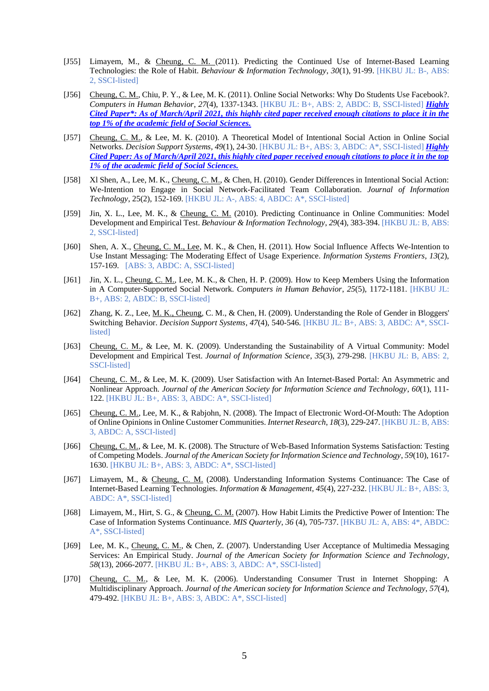- [J55] Limayem, M., & Cheung, C. M. (2011). Predicting the Continued Use of Internet-Based Learning Technologies: the Role of Habit. *Behaviour & Information Technology*, *30*(1), 91-99. [HKBU JL: B-, ABS: 2, SSCI-listed]
- [J56] Cheung, C. M., Chiu, P. Y., & Lee, M. K. (2011). Online Social Networks: Why Do Students Use Facebook?. *Computers in Human Behavior*, *27*(4), 1337-1343. [HKBU JL: B+, ABS: 2, ABDC: B, SSCI-listed] *Highly Cited Paper\*: As of March/April 2021, this highly cited paper received enough citations to place it in the top 1% of the academic field of Social Sciences.*
- [J57] Cheung, C. M., & Lee, M. K. (2010). A Theoretical Model of Intentional Social Action in Online Social Networks. *Decision Support Systems*, *49*(1), 24-30. [HKBU JL: B+, ABS: 3, ABDC: A\*, SSCI-listed] *Highly Cited Paper: As of March/April 2021, this highly cited paper received enough citations to place it in the top 1% of the academic field of Social Sciences.*
- [J58] XI Shen, A., Lee, M. K., Cheung, C. M., & Chen, H. (2010). Gender Differences in Intentional Social Action: We-Intention to Engage in Social Network-Facilitated Team Collaboration. *Journal of Information Technology*, 25(2), 152-169. [HKBU JL: A-, ABS: 4, ABDC: A\*, SSCI-listed]
- [J59] Jin, X. L., Lee, M. K., & Cheung, C. M. (2010). Predicting Continuance in Online Communities: Model Development and Empirical Test. *Behaviour & Information Technology*, *29*(4), 383-394. [HKBU JL: B, ABS: 2, SSCI-listed]
- [J60] Shen, A. X., Cheung, C. M., Lee, M. K., & Chen, H. (2011). How Social Influence Affects We-Intention to Use Instant Messaging: The Moderating Effect of Usage Experience. *Information Systems Frontiers*, *13*(2), 157-169. [ABS: 3, ABDC: A, SSCI-listed]
- [J61] Jin, X. L., Cheung, C. M., Lee, M. K., & Chen, H. P. (2009). How to Keep Members Using the Information in A Computer-Supported Social Network. *Computers in Human Behavior*, *25*(5), 1172-1181. [HKBU JL: B+, ABS: 2, ABDC: B, SSCI-listed]
- [J62] Zhang, K. Z., Lee, M. K., Cheung, C. M., & Chen, H. (2009). Understanding the Role of Gender in Bloggers' Switching Behavior. *Decision Support Systems*, *47*(4), 540-546. [HKBU JL: B+, ABS: 3, ABDC: A\*, SSCIlisted]
- [J63] Cheung, C. M., & Lee, M. K. (2009). Understanding the Sustainability of A Virtual Community: Model Development and Empirical Test. *Journal of Information Science*, *35*(3), 279-298. [HKBU JL: B, ABS: 2, SSCI-listed]
- [J64] Cheung, C. M., & Lee, M. K. (2009). User Satisfaction with An Internet‐Based Portal: An Asymmetric and Nonlinear Approach. *Journal of the American Society for Information Science and Technology*, *60*(1), 111- 122. [HKBU JL: B+, ABS: 3, ABDC: A\*, SSCI-listed]
- [J65] Cheung, C. M., Lee, M. K., & Rabjohn, N. (2008). The Impact of Electronic Word-Of-Mouth: The Adoption of Online Opinions in Online Customer Communities. *Internet Research*, *18*(3), 229-247. [HKBU JL: B, ABS: 3, ABDC: A, SSCI-listed]
- [J66] Cheung, C. M., & Lee, M. K. (2008). The Structure of Web-Based Information Systems Satisfaction: Testing of Competing Models. *Journal of the American Society for Information Science and Technology*, *59*(10), 1617- 1630. [HKBU JL: B+, ABS: 3, ABDC: A\*, SSCI-listed]
- [J67] Limayem, M., & Cheung, C. M. (2008). Understanding Information Systems Continuance: The Case of Internet-Based Learning Technologies. *Information & Management*, *45*(4), 227-232. [HKBU JL: B+, ABS: 3, ABDC: A\*, SSCI-listed]
- [J68] Limayem, M., Hirt, S. G., & Cheung, C. M. (2007). How Habit Limits the Predictive Power of Intention: The Case of Information Systems Continuance. *MIS Quarterly*, *36* (4), 705-737. [HKBU JL: A, ABS: 4\*, ABDC: A\*, SSCI-listed]
- [J69] Lee, M. K., Cheung, C. M., & Chen, Z. (2007). Understanding User Acceptance of Multimedia Messaging Services: An Empirical Study. *Journal of the American Society for Information Science and Technology*, *58*(13), 2066-2077. [HKBU JL: B+, ABS: 3, ABDC: A\*, SSCI-listed]
- [J70] Cheung, C. M., & Lee, M. K. (2006). Understanding Consumer Trust in Internet Shopping: A Multidisciplinary Approach. *Journal of the American society for Information Science and Technology*, *57*(4), 479-492. [HKBU JL: B+, ABS: 3, ABDC: A\*, SSCI-listed]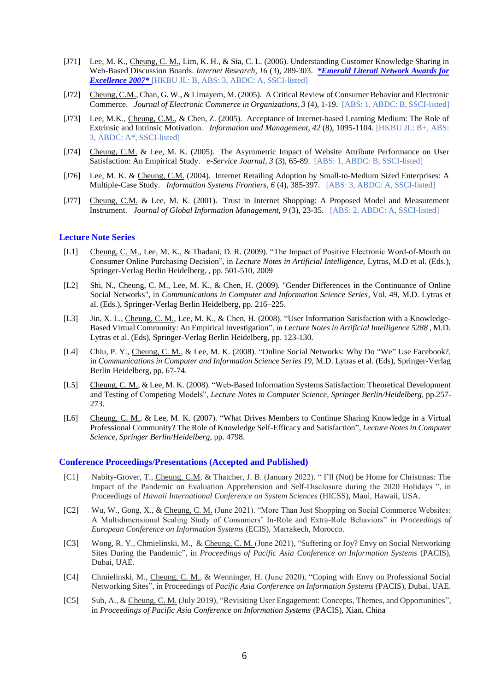- [J71] Lee, M. K., Cheung, C. M., Lim, K. H., & Sia, C. L. (2006). Understanding Customer Knowledge Sharing in Web-Based Discussion Boards. *Internet Research, 16 (3), 289-303. \*Emerald Literati Network Awards for Excellence 2007\** [HKBU JL: B, ABS: 3, ABDC: A, SSCI-listed]
- [J72] Cheung, C.M., Chan, G. W., & Limayem, M. (2005). A Critical Review of Consumer Behavior and Electronic Commerce. *Journal of Electronic Commerce in Organizations, 3* (4), 1-19. [ABS: 1, ABDC: B, SSCI-listed]
- [J73] Lee, M.K., Cheung, C.M., & Chen, Z. (2005). Acceptance of Internet-based Learning Medium: The Role of Extrinsic and Intrinsic Motivation. *Information and Management, 42* (8), 1095-1104. [HKBU JL: B+, ABS: 3, ABDC: A\*, SSCI-listed]
- [J74] Cheung, C.M. & Lee, M. K. (2005). The Asymmetric Impact of Website Attribute Performance on User Satisfaction: An Empirical Study. *e-Service Journal, 3* (3), 65-89. [ABS: 1, ABDC: B, SSCI-listed]
- [J76] Lee, M. K. & Cheung, C.M. (2004). Internet Retailing Adoption by Small-to-Medium Sized Enterprises: A Multiple-Case Study. *Information Systems Frontiers, 6* (4), 385-397. [ABS: 3, ABDC: A, SSCI-listed]
- [J77] Cheung, C.M. & Lee, M. K. (2001). Trust in Internet Shopping: A Proposed Model and Measurement Instrument. *Journal of Global Information Management*, *9* (3), 23-35. [ABS: 2, ABDC: A, SSCI-listed]

#### **Lecture Note Series**

- [L1] Cheung, C. M., Lee, M. K., & Thadani, D. R. (2009). "The Impact of Positive Electronic Word-of-Mouth on Consumer Online Purchasing Decision", in *Lecture Notes in Artificial Intelligence,* Lytras, M.D et al. (Eds.), Springer-Verlag Berlin Heidelberg, , pp. 501-510, 2009
- [L2] Shi, N., Cheung, C. M., Lee, M. K., & Chen, H. (2009). "Gender Differences in the Continuance of Online Social Networks", in *Communications in Computer and Information Science Series*, Vol. 49, M.D. Lytras et al. (Eds.), Springer-Verlag Berlin Heidelberg, pp. 216–225.
- [L3] Jin, X. L., Cheung, C. M., Lee, M. K., & Chen, H. (2008). "User Information Satisfaction with a Knowledge-Based Virtual Community: An Empirical Investigation", in *Lecture Notes in Artificial Intelligence 5288* , M.D. Lytras et al. (Eds), Springer-Verlag Berlin Heidelberg, pp. 123-130.
- [L4] Chiu, P. Y., Cheung, C. M., & Lee, M. K. (2008). "Online Social Networks: Why Do "We" Use Facebook?, in *Communications in Computer and Information Science Series 19,* M.D. Lytras et al. (Eds), Springer-Verlag Berlin Heidelberg, pp. 67-74.
- [L5] Cheung, C. M., & Lee, M. K. (2008). "Web-Based Information Systems Satisfaction: Theoretical Development and Testing of Competing Models", *Lecture Notes in Computer Science, Springer Berlin/Heidelberg,* pp.257- 273.
- [L6] Cheung, C. M., & Lee, M. K. (2007). "What Drives Members to Continue Sharing Knowledge in a Virtual Professional Community? The Role of Knowledge Self-Efficacy and Satisfaction", *Lecture Notes in Computer Science, Springer Berlin/Heidelberg,* pp. 4798.

#### **Conference Proceedings/Presentations (Accepted and Published)**

- [C1] Nabity-Grover, T., Cheung, C.M. & Thatcher, J. B. (January 2022). " I'll (Not) be Home for Christmas: The Impact of the Pandemic on Evaluation Apprehension and Self-Disclosure during the 2020 Holidays ", in Proceedings of *Hawaii International Conference on System Sciences* (HICSS), Maui, Hawaii, USA.
- [C2] Wu, W., Gong, X., & Cheung, C. M. (June 2021). "More Than Just Shopping on Social Commerce Websites: A Multidimensional Scaling Study of Consumers' In-Role and Extra-Role Behaviors" in *Proceedings of European Conference on Information Systems* (ECIS), Marrakech, Morocco.
- [C3] Wong, R. Y., Chmielinski, M., & Cheung, C. M. (June 2021), "Suffering or Joy? Envy on Social Networking Sites During the Pandemic", in *Proceedings of Pacific Asia Conference on Information Systems* (PACIS), Dubai, UAE.
- [C4] Chmielinski, M., Cheung, C. M., & Wenninger, H. (June 2020), "Coping with Envy on Professional Social Networking Sites", in Proceedings of *Pacific Asia Conference on Information Systems* (PACIS), Dubai, UAE.
- [C5] Suh, A., & Cheung, C. M. (July 2019), "Revisiting User Engagement: Concepts, Themes, and Opportunities", in *Proceedings of Pacific Asia Conference on Information Systems* (PACIS), Xian, China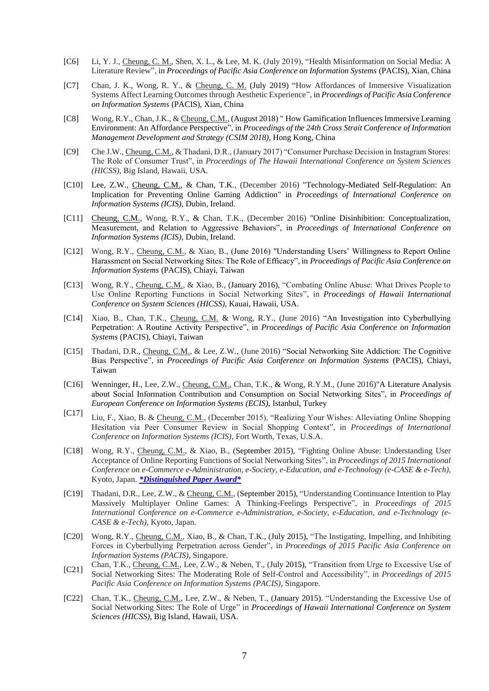- [C6] Li, Y. J., Cheung, C. M., Shen, X. L., & Lee, M. K. (July 2019), "Health Misinformation on Social Media: A Literature Review", in *Proceedings of Pacific Asia Conference on Information Systems* (PACIS), Xian, China
- [C7] Chan, J. K., Wong, R. Y., & Cheung, C. M. (July 2019) "How Affordances of Immersive Visualization Systems Affect Learning Outcomes through Aesthetic Experience", in *Proceedings of Pacific Asia Conference on Information Systems* (PACIS), Xian, China
- [C8] Wong, R.Y., Chan, J.K., & Cheung, C.M., (August 2018) " How Gamification Influences Immersive Learning Environment: An Affordance Perspective", in *Proceedings of the 24th Cross Strait Conference of Information Management Development and Strategy (CSIM 2018)*, Hong Kong, China
- [C9] Che J.W., Cheung, C.M., & Thadani, D.R., (January 2017) "Consumer Purchase Decision in Instagram Stores: The Role of Consumer Trust", in *Proceedings of The Hawaii International Conference on System Sciences (HICSS)*, Big Island, Hawaii, USA.
- [C10] Lee, Z.W., Cheung, C.M., & Chan, T.K., (December 2016) "Technology-Mediated Self-Regulation: An Implication for Preventing Online Gaming Addiction" in *Proceedings of International Conference on Information Systems (ICIS)*, Dubin, Ireland.
- [C11] Cheung, C.M., Wong, R.Y., & Chan, T.K., (December 2016) "Online Disinhibition: Conceptualization, Measurement, and Relation to Aggressive Behaviors", in *Proceedings of International Conference on Information Systems (ICIS)*, Dubin, Ireland.
- [C12] Wong, R.Y., Cheung, C.M., & Xiao, B., (June 2016) "Understanding Users' Willingness to Report Online Harassment on Social Networking Sites: The Role of Efficacy", in *Proceedings of Pacific Asia Conference on Information Systems* (PACIS), Chiayi, Taiwan
- [C13] Wong, R.Y., Cheung, C.M., & Xiao, B., (January 2016), "Combating Online Abuse: What Drives People to Use Online Reporting Functions in Social Networking Sites", in *Proceedings of Hawaii International Conference on System Sciences (HICSS)*, Kauai, Hawaii, USA.
- [C14] Xiao, B., Chan, T.K., Cheung, C.M. & Wong, R.Y., (June 2016) "An Investigation into Cyberbullying Perpetration: A Routine Activity Perspective", in *Proceedings of Pacific Asia Conference on Information Systems* (PACIS), Chiayi, Taiwan
- [C15] Thadani, D.R., Cheung, C.M., & Lee, Z.W., (June 2016) "Social Networking Site Addiction: The Cognitive Bias Perspective", in *Proceedings of Pacific Asia Conference on Information Systems* (PACIS), Chiayi, Taiwan
- [C16] Wenninger, H., Lee, Z.W., Cheung, C.M., Chan, T.K., & Wong, R.Y.M., (June 2016)"A Literature Analysis about Social Information Contribution and Consumption on Social Networking Sites", in *Proceedings of European Conference on Information Systems (ECIS),* Istanbul, Turkey
- [C17] Liu, F., Xiao, B. & Cheung, C.M., (December 2015), "Realizing Your Wishes: Alleviating Online Shopping Hesitation via Peer Consumer Review in Social Shopping Context", in *Proceedings of International Conference on Information Systems (ICIS)*, Fort Worth, Texas, U.S.A.
- [C18] Wong, R.Y., Cheung, C.M., & Xiao, B., (September 2015), "Fighting Online Abuse: Understanding User Acceptance of Online Reporting Functions of Social Networking Sites", in *Proceedings of 2015 International Conference on e-Commerce e-Administration, e-Society, e-Education, and e-Technology (e-CASE & e-Tech),* Kyoto, Japan. *\*Distinguished Paper Award\**
- [C19] Thadani, D.R., Lee, Z.W., & Cheung, C.M., (September 2015), "Understanding Continuance Intention to Play Massively Multiplayer Online Games: A Thinking-Feelings Perspective", in *Proceedings of 2015 International Conference on e-Commerce e-Administration, e-Society, e-Education, and e-Technology (e-CASE & e-Tech),* Kyoto, Japan.
- [C20] Wong, R.Y., Cheung, C.M., Xiao, B., & Chan, T.K., (July 2015), "The Instigating, Impelling, and Inhibiting Forces in Cyberbullying Perpetration across Gender", in *Proceedings of 2015 Pacific Asia Conference on Information Systems (PACIS)*, Singapore.
- [C21] Chan, T.K., Cheung, C.M., Lee, Z.W., & Neben, T., (July 2015), "Transition from Urge to Excessive Use of Social Networking Sites: The Moderating Role of Self-Control and Accessibility", in *Proceedings of 2015 Pacific Asia Conference on Information Systems (PACIS)*, Singapore.
- [C22] Chan, T.K., Cheung, C.M., Lee, Z.W., & Neben, T., (January 2015). "Understanding the Excessive Use of Social Networking Sites: The Role of Urge" in *Proceedings of Hawaii International Conference on System Sciences (HICSS)*, Big Island, Hawaii, USA.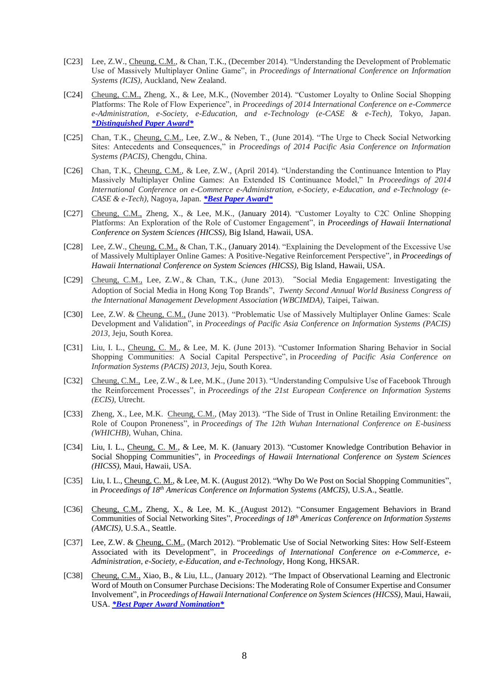- [C23] Lee, Z.W., Cheung, C.M., & Chan, T.K., (December 2014). "Understanding the Development of Problematic Use of Massively Multiplayer Online Game", in *Proceedings of International Conference on Information Systems (ICIS)*, Auckland, New Zealand.
- [C24] Cheung, C.M., Zheng, X., & Lee, M.K., (November 2014). "Customer Loyalty to Online Social Shopping Platforms: The Role of Flow Experience", in *Proceedings of 2014 International Conference on e-Commerce e-Administration, e-Society, e-Education, and e-Technology (e-CASE & e-Tech),* Tokyo, Japan. *\*Distinguished Paper Award\**
- [C25] Chan, T.K., Cheung, C.M., Lee, Z.W., & Neben, T., (June 2014). "The Urge to Check Social Networking Sites: Antecedents and Consequences," in *Proceedings of 2014 Pacific Asia Conference on Information Systems (PACIS)*, Chengdu, China.
- [C26] Chan, T.K., Cheung, C.M., & Lee, Z.W., (April 2014). "Understanding the Continuance Intention to Play Massively Multiplayer Online Games: An Extended IS Continuance Model," In *Proceedings of 2014 International Conference on e-Commerce e-Administration, e-Society, e-Education, and e-Technology (e-CASE & e-Tech),* Nagoya, Japan. *\*Best Paper Award\**
- [C27] Cheung, C.M., Zheng, X., & Lee, M.K., (January 2014). "Customer Loyalty to C2C Online Shopping Platforms: An Exploration of the Role of Customer Engagement", in *Proceedings of Hawaii International Conference on System Sciences (HICSS)*, Big Island, Hawaii, USA.
- [C28] Lee, Z.W., Cheung, C.M., & Chan, T.K., (January 2014). "Explaining the Development of the Excessive Use of Massively Multiplayer Online Games: A Positive-Negative Reinforcement Perspective", in *Proceedings of Hawaii International Conference on System Sciences (HICSS)*, Big Island, Hawaii, USA.
- [C29] Cheung, C.M., Lee, Z.W., & Chan, T.K., (June 2013). "Social Media Engagement: Investigating the Adoption of Social Media in Hong Kong Top Brands", *Twenty Second Annual World Business Congress of the International Management Development Association (WBCIMDA)*, Taipei, Taiwan.
- [C30] Lee, Z.W. & Cheung, C.M., (June 2013). "Problematic Use of Massively Multiplayer Online Games: Scale Development and Validation", in *Proceedings of Pacific Asia Conference on Information Systems (PACIS) 2013,* Jeju, South Korea.
- [C31] Liu, I. L., Cheung, C. M., & Lee, M. K. (June 2013). "Customer Information Sharing Behavior in Social Shopping Communities: A Social Capital Perspective", in *Proceeding of Pacific Asia Conference on Information Systems (PACIS) 2013,* Jeju, South Korea.
- [C32] Cheung, C.M., Lee, Z.W., & Lee, M.K., (June 2013). "Understanding Compulsive Use of Facebook Through the Reinforcement Processes", in *Proceedings of the 21st European Conference on Information Systems (ECIS)*, Utrecht.
- [C33] Zheng, X., Lee, M.K. Cheung, C.M., (May 2013). "The Side of Trust in Online Retailing Environment: the Role of Coupon Proneness", in *Proceedings of The 12th Wuhan International Conference on E-business (WHICHB),* Wuhan, China.
- [C34] Liu, I. L., Cheung, C. M., & Lee, M. K. (January 2013). "Customer Knowledge Contribution Behavior in Social Shopping Communities", in *Proceedings of Hawaii International Conference on System Sciences (HICSS)*, Maui, Hawaii, USA.
- [C35] Liu, I. L., Cheung, C. M., & Lee, M. K. (August 2012). "Why Do We Post on Social Shopping Communities", in *Proceedings of 18th Americas Conference on Information Systems (AMCIS)*, U.S.A., Seattle.
- [C36] Cheung, C.M., Zheng, X., & Lee, M. K. (August 2012). "Consumer Engagement Behaviors in Brand Communities of Social Networking Sites", *Proceedings of 18th Americas Conference on Information Systems (AMCIS)*, U.S.A., Seattle.
- [C37] Lee, Z.W. & Cheung, C.M., (March 2012). "Problematic Use of Social Networking Sites: How Self-Esteem Associated with its Development", in *Proceedings of International Conference on e-Commerce, e-Administration, e-Society, e-Education, and e-Technology*, Hong Kong, HKSAR.
- [C38] Cheung, C.M., Xiao, B., & Liu, I.L., (January 2012). "The Impact of Observational Learning and Electronic Word of Mouth on Consumer Purchase Decisions: The Moderating Role of Consumer Expertise and Consumer Involvement", in *Proceedings of Hawaii International Conference on System Sciences (HICSS)*, Maui, Hawaii, USA. *\*Best Paper Award Nomination\**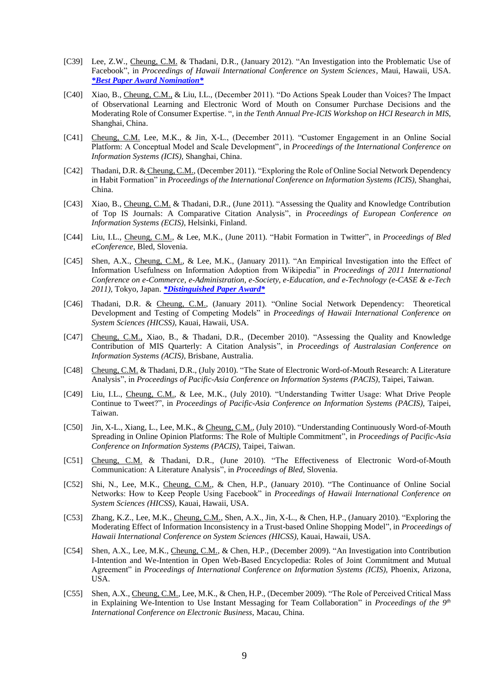- [C39] Lee, Z.W., Cheung, C.M. & Thadani, D.R., (January 2012). "An Investigation into the Problematic Use of Facebook", in *Proceedings of Hawaii International Conference on System Sciences*, Maui, Hawaii, USA. *\*Best Paper Award Nomination\**
- [C40] Xiao, B., Cheung, C.M., & Liu, I.L., (December 2011). "Do Actions Speak Louder than Voices? The Impact of Observational Learning and Electronic Word of Mouth on Consumer Purchase Decisions and the Moderating Role of Consumer Expertise. ", in *the Tenth Annual Pre-ICIS Workshop on HCI Research in MIS*, Shanghai, China.
- [C41] Cheung, C.M. Lee, M.K., & Jin, X-L., (December 2011). "Customer Engagement in an Online Social Platform: A Conceptual Model and Scale Development", in *Proceedings of the International Conference on Information Systems (ICIS),* Shanghai, China.
- [C42] Thadani, D.R. & Cheung, C.M., (December 2011). "Exploring the Role of Online Social Network Dependency in Habit Formation" in *Proceedings of the International Conference on Information Systems (ICIS),* Shanghai, China.
- [C43] Xiao, B., Cheung, C.M. & Thadani, D.R., (June 2011). "Assessing the Quality and Knowledge Contribution of Top IS Journals: A Comparative Citation Analysis", in *Proceedings of European Conference on Information Systems (ECIS)*, Helsinki, Finland.
- [C44] Liu, I.L., Cheung, C.M., & Lee, M.K., (June 2011). "Habit Formation in Twitter", in *Proceedings of Bled eConference*, Bled, Slovenia.
- [C45] Shen, A.X., Cheung, C.M., & Lee, M.K., (January 2011). "An Empirical Investigation into the Effect of Information Usefulness on Information Adoption from Wikipedia" in *Proceedings of 2011 International Conference on e-Commerce, e-Administration, e-Society, e-Education, and e-Technology (e-CASE & e-Tech 2011),* Tokyo, Japan. *\*Distinguished Paper Award\**
- [C46] Thadani, D.R. & Cheung, C.M., (January 2011). "Online Social Network Dependency: Theoretical Development and Testing of Competing Models" in *Proceedings of Hawaii International Conference on System Sciences (HICSS)*, Kauai, Hawaii, USA.
- [C47] Cheung, C.M., Xiao, B., & Thadani, D.R., (December 2010). "Assessing the Quality and Knowledge Contribution of MIS Quarterly: A Citation Analysis", in *Proceedings of Australasian Conference on Information Systems (ACIS)*, Brisbane, Australia.
- [C48] Cheung, C.M. & Thadani, D.R., (July 2010). "The State of Electronic Word-of-Mouth Research: A Literature Analysis", in *Proceedings of Pacific-Asia Conference on Information Systems (PACIS)*, Taipei, Taiwan.
- [C49] Liu, I.L., Cheung, C.M., & Lee, M.K., (July 2010). "Understanding Twitter Usage: What Drive People Continue to Tweet?", in *Proceedings of Pacific-Asia Conference on Information Systems (PACIS)*, Taipei, Taiwan.
- [C50] Jin, X-L., Xiang, L., Lee, M.K., & Cheung, C.M., (July 2010). "Understanding Continuously Word-of-Mouth Spreading in Online Opinion Platforms: The Role of Multiple Commitment", in *Proceedings of Pacific-Asia Conference on Information Systems (PACIS)*, Taipei, Taiwan.
- [C51] Cheung, C.M. & Thadani, D.R., (June 2010). "The Effectiveness of Electronic Word-of-Mouth Communication: A Literature Analysis", in *Proceedings of Bled,* Slovenia.
- [C52] Shi, N., Lee, M.K., Cheung, C.M., & Chen, H.P., (January 2010). "The Continuance of Online Social Networks: How to Keep People Using Facebook" in *Proceedings of Hawaii International Conference on System Sciences (HICSS)*, Kauai, Hawaii, USA.
- [C53] Zhang, K.Z., Lee, M.K., Cheung, C.M., Shen, A.X., Jin, X-L., & Chen, H.P., (January 2010). "Exploring the Moderating Effect of Information Inconsistency in a Trust-based Online Shopping Model", in *Proceedings of Hawaii International Conference on System Sciences (HICSS)*, Kauai, Hawaii, USA.
- [C54] Shen, A.X., Lee, M.K., Cheung, C.M., & Chen, H.P., (December 2009). "An Investigation into Contribution I-Intention and We-Intention in Open Web-Based Encyclopedia: Roles of Joint Commitment and Mutual Agreement" in *Proceedings of International Conference on Information Systems (ICIS),* Phoenix, Arizona, USA.
- [C55] Shen, A.X., Cheung, C.M., Lee, M.K., & Chen, H.P., (December 2009). "The Role of Perceived Critical Mass in Explaining We-Intention to Use Instant Messaging for Team Collaboration" in *Proceedings of the 9th International Conference on Electronic Business,* Macau, China.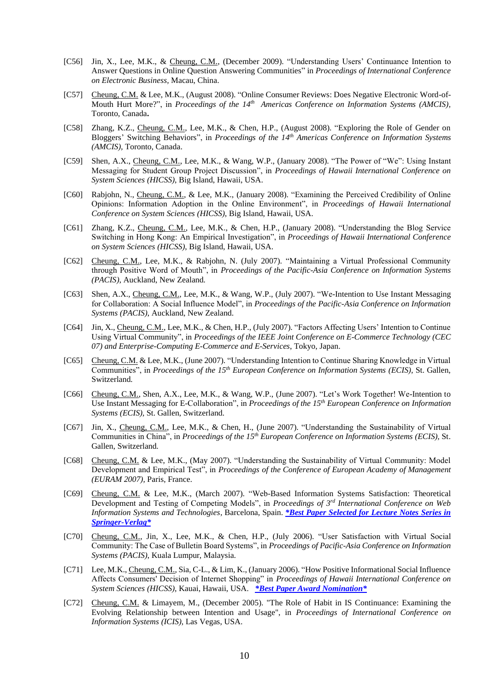- [C56] Jin, X., Lee, M.K., & Cheung, C.M., (December 2009). "Understanding Users' Continuance Intention to Answer Questions in Online Question Answering Communities" in *Proceedings of International Conference on Electronic Business,* Macau, China.
- [C57] Cheung, C.M. & Lee, M.K., (August 2008). "Online Consumer Reviews: Does Negative Electronic Word-of-Mouth Hurt More?", in *Proceedings of the 14th Americas Conference on Information Systems (AMCIS),*  Toronto, Canada**.**
- [C58] Zhang, K.Z., Cheung, C.M., Lee, M.K., & Chen, H.P., (August 2008). "Exploring the Role of Gender on Bloggers' Switching Behaviors", in *Proceedings of the 14th Americas Conference on Information Systems (AMCIS),* Toronto, Canada.
- [C59] Shen, A.X., Cheung, C.M., Lee, M.K., & Wang, W.P., (January 2008). "The Power of "We": Using Instant Messaging for Student Group Project Discussion", in *Proceedings of Hawaii International Conference on System Sciences (HICSS)*, Big Island, Hawaii, USA.
- [C60] Rabjohn, N., Cheung, C.M., & Lee, M.K., (January 2008). "Examining the Perceived Credibility of Online Opinions: Information Adoption in the Online Environment", in *Proceedings of Hawaii International Conference on System Sciences (HICSS)*, Big Island, Hawaii, USA.
- [C61] Zhang, K.Z., Cheung, C.M., Lee, M.K., & Chen, H.P., (January 2008). "Understanding the Blog Service Switching in Hong Kong: An Empirical Investigation", in *Proceedings of Hawaii International Conference on System Sciences (HICSS)*, Big Island, Hawaii, USA.
- [C62] Cheung, C.M., Lee, M.K., & Rabjohn, N. (July 2007). "Maintaining a Virtual Professional Community through Positive Word of Mouth", in *Proceedings of the Pacific-Asia Conference on Information Systems (PACIS)*, Auckland, New Zealand*.*
- [C63] Shen, A.X., Cheung, C.M., Lee, M.K., & Wang, W.P., (July 2007). "We-Intention to Use Instant Messaging for Collaboration: A Social Influence Model", in *Proceedings of the Pacific-Asia Conference on Information Systems (PACIS)*, Auckland, New Zealand.
- [C64] Jin, X., Cheung, C.M., Lee, M.K., & Chen, H.P., (July 2007). "Factors Affecting Users' Intention to Continue Using Virtual Community", in *Proceedings of the IEEE Joint Conference on E-Commerce Technology (CEC 07) and Enterprise-Computing E-Commerce and E-Services*, Tokyo, Japan.
- [C65] Cheung, C.M. & Lee, M.K., (June 2007). "Understanding Intention to Continue Sharing Knowledge in Virtual Communities", in *Proceedings of the 15th European Conference on Information Systems (ECIS),* St. Gallen, Switzerland*.*
- [C66] Cheung, C.M., Shen, A.X., Lee, M.K., & Wang, W.P., (June 2007). "Let's Work Together! We-Intention to Use Instant Messaging for E-Collaboration", in *Proceedings of the 15th European Conference on Information Systems (ECIS),* St. Gallen, Switzerland*.*
- [C67] Jin, X., Cheung, C.M., Lee, M.K., & Chen, H., (June 2007). "Understanding the Sustainability of Virtual Communities in China", in *Proceedings of the 15th European Conference on Information Systems (ECIS),* St. Gallen, Switzerland*.*
- [C68] Cheung, C.M. & Lee, M.K., (May 2007). "Understanding the Sustainability of Virtual Community: Model Development and Empirical Test", in *Proceedings of the Conference of European Academy of Management (EURAM 2007),* Paris, France*.*
- [C69] Cheung, C.M. & Lee, M.K., (March 2007). "Web-Based Information Systems Satisfaction: Theoretical Development and Testing of Competing Models", in *Proceedings of 3<sup>rd</sup> International Conference on Web Information Systems and Technologies,* Barcelona, Spain. *\*Best Paper Selected for Lecture Notes Series in Springer-Verlag\**
- [C70] Cheung, C.M., Jin, X., Lee, M.K., & Chen, H.P., (July 2006). "User Satisfaction with Virtual Social Community: The Case of Bulletin Board Systems", in *Proceedings of Pacific-Asia Conference on Information Systems (PACIS)*, Kuala Lumpur, Malaysia.
- [C71] Lee, M.K., Cheung, C.M., Sia, C-L., & Lim, K., (January 2006). "How Positive Informational Social Influence Affects Consumers' Decision of Internet Shopping" in *Proceedings of Hawaii International Conference on System Sciences (HICSS)*, Kauai, Hawaii, USA. *\*Best Paper Award Nomination\**
- [C72] Cheung, C.M. & Limayem, M., (December 2005). "The Role of Habit in IS Continuance: Examining the Evolving Relationship between Intention and Usage", in *Proceedings of International Conference on Information Systems (ICIS),* Las Vegas, USA.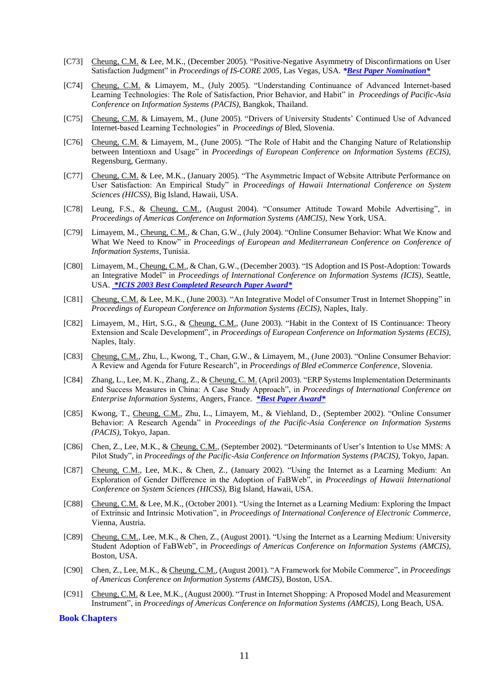- [C73] Cheung, C.M. & Lee, M.K., (December 2005). "Positive-Negative Asymmetry of Disconfirmations on User Satisfaction Judgment" in *Proceedings of IS-CORE 2005,* Las Vegas, USA. *\*Best Paper Nomination\**
- [C74] Cheung, C.M. & Limayem, M., (July 2005). "Understanding Continuance of Advanced Internet-based Learning Technologies: The Role of Satisfaction, Prior Behavior, and Habit" in *Proceedings of Pacific-Asia Conference on Information Systems (PACIS)*, Bangkok, Thailand.
- [C75] Cheung, C.M. & Limayem, M., (June 2005). "Drivers of University Students' Continued Use of Advanced Internet-based Learning Technologies" in *Proceedings of* Bled, Slovenia.
- [C76] Cheung, C.M. & Limayem, M., (June 2005). "The Role of Habit and the Changing Nature of Relationship between Intentioxn and Usage" in *Proceedings of European Conference on Information Systems (ECIS)*, Regensburg, Germany.
- [C77] Cheung, C.M. & Lee, M.K., (January 2005). "The Asymmetric Impact of Website Attribute Performance on User Satisfaction: An Empirical Study" in *Proceedings of Hawaii International Conference on System Sciences (HICSS)*, Big Island, Hawaii, USA.
- [C78] Leung, F.S., & Cheung, C.M., (August 2004). "Consumer Attitude Toward Mobile Advertising", in *Proceedings of Americas Conference on Information Systems (AMCIS)*, New York, USA.
- [C79] Limayem, M., Cheung, C.M., & Chan, G.W., (July 2004). "Online Consumer Behavior: What We Know and What We Need to Know" in *Proceedings of European and Mediterranean Conference on Conference of Information Systems*, Tunisia.
- [C80] Limayem, M., Cheung, C.M., & Chan, G.W., (December 2003). "IS Adoption and IS Post-Adoption: Towards an Integrative Model" in *Proceedings of International Conference on Information Systems (ICIS),* Seattle, USA. *\*ICIS 2003 Best Completed Research Paper Award\**
- [C81] Cheung, C.M. & Lee, M.K., (June 2003). "An Integrative Model of Consumer Trust in Internet Shopping" in *Proceedings of European Conference on Information Systems (ECIS)*, Naples, Italy.
- [C82] Limayem, M., Hirt, S.G., & Cheung, C.M., (June 2003). "Habit in the Context of IS Continuance: Theory Extension and Scale Development", in *Proceedings of European Conference on Information Systems (ECIS)*, Naples, Italy.
- [C83] Cheung, C.M., Zhu, L., Kwong, T., Chan, G.W., & Limayem, M., (June 2003). "Online Consumer Behavior: A Review and Agenda for Future Research", in *Proceedings of Bled eCommerce Conference*, Slovenia.
- [C84] Zhang, L., Lee, M. K., Zhang, Z., & Cheung, C. M. (April 2003). "ERP Systems Implementation Determinants and Success Measures in China: A Case Study Approach", in *Proceedings of International Conference on Enterprise Information Systems*, Angers, France. *\*Best Paper Award\**
- [C85] Kwong, T., Cheung, C.M., Zhu, L., Limayem, M., & Viehland, D., (September 2002). "Online Consumer Behavior: A Research Agenda" in *Proceedings of the Pacific-Asia Conference on Information Systems (PACIS)*, Tokyo, Japan.
- [C86] Chen, Z., Lee, M.K., & Cheung, C.M., (September 2002). "Determinants of User's Intention to Use MMS: A Pilot Study", in *Proceedings of the Pacific-Asia Conference on Information Systems (PACIS)*, Tokyo, Japan.
- [C87] Cheung, C.M., Lee, M.K., & Chen, Z., (January 2002). "Using the Internet as a Learning Medium: An Exploration of Gender Difference in the Adoption of FaBWeb", in *Proceedings of Hawaii International Conference on System Sciences (HICSS)*, Big Island, Hawaii, USA.
- [C88] Cheung, C.M. & Lee, M.K., (October 2001). "Using the Internet as a Learning Medium: Exploring the Impact of Extrinsic and Intrinsic Motivation", in *Proceedings of International Conference of Electronic Commerce*, Vienna, Austria.
- [C89] Cheung, C.M., Lee, M.K., & Chen, Z., (August 2001). "Using the Internet as a Learning Medium: University Student Adoption of FaBWeb", in *Proceedings of Americas Conference on Information Systems (AMCIS)*, Boston, USA.
- [C90] Chen, Z., Lee, M.K., & Cheung, C.M., (August 2001). "A Framework for Mobile Commerce", in *Proceedings of Americas Conference on Information Systems (AMCIS)*, Boston, USA.
- [C91] Cheung, C.M. & Lee, M.K., (August 2000). "Trust in Internet Shopping: A Proposed Model and Measurement Instrument", in *Proceedings of Americas Conference on Information Systems (AMCIS)*, Long Beach, USA.

#### **Book Chapters**